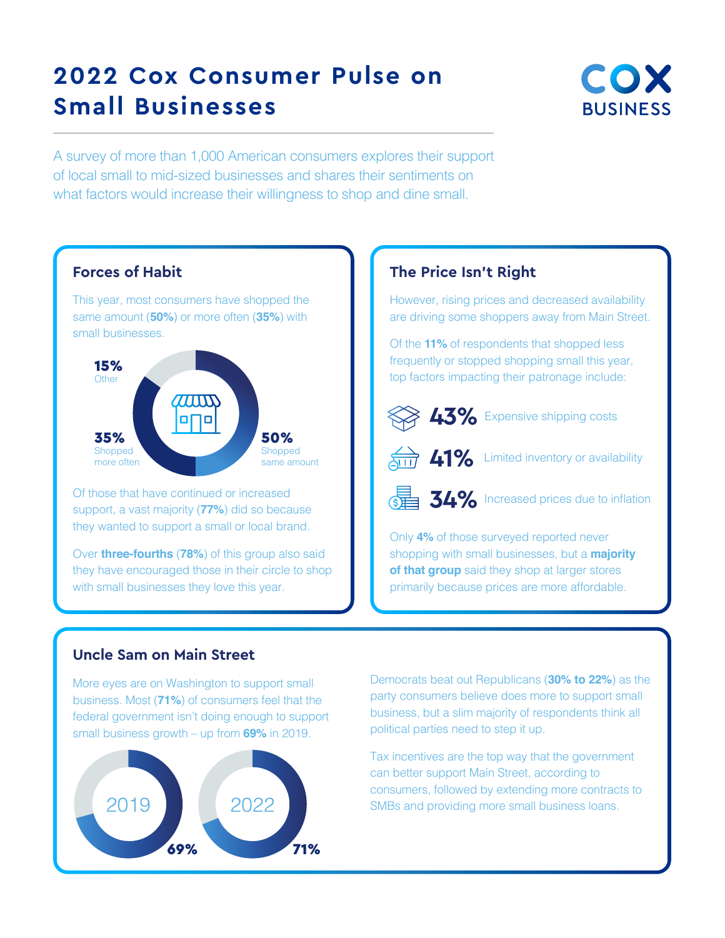# **2022 Cox Consumer Pulse on Small Businesses**



A survey of more than 1,000 American consumers explores their support of local small to mid-sized businesses and shares their sentiments on what factors would increase their willingness to shop and dine small.



Of those that have continued or increased support, a vast majority (**77%**) did so because they wanted to support a small or local brand.

Over **three-fourths** (**78%**) of this group also said they have encouraged those in their circle to shop with small businesses they love this year.

## **The Price Isn't Right**

However, rising prices and decreased availability are driving some shoppers away from Main Street.

Of the **11%** of respondents that shopped less frequently or stopped shopping small this year, top factors impacting their patronage include:



**43%** Expensive shipping costs



**41%** Limited inventory or availability



Only **4%** of those surveyed reported never shopping with small businesses, but a **majority of that group** said they shop at larger stores primarily because prices are more affordable.

### **Uncle Sam on Main Street**

More eyes are on Washington to support small business. Most (**71%**) of consumers feel that the federal government isn't doing enough to support small business growth – up from **69%** in 2019.



Democrats beat out Republicans (**30% to 22%**) as the party consumers believe does more to support small business, but a slim majority of respondents think all political parties need to step it up.

Tax incentives are the top way that the government can better support Main Street, according to consumers, followed by extending more contracts to SMBs and providing more small business loans.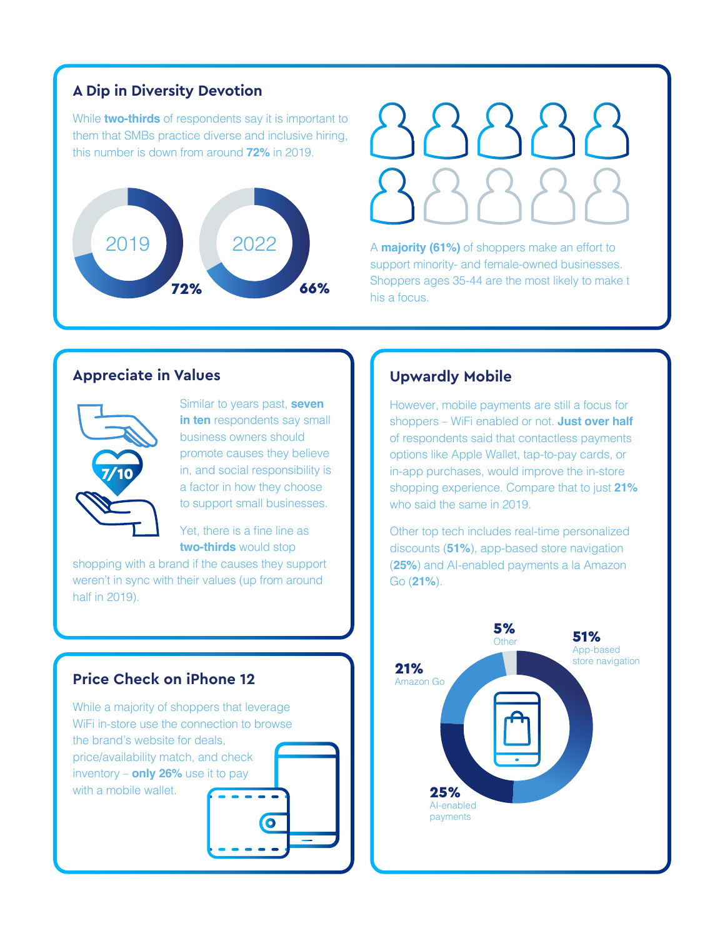## **A Dip in Diversity Devotion**

While **two-thirds** of respondents say it is important to them that SMBs practice diverse and inclusive hiring, this number is down from around **72%** in 2019.





A **majority (61%)** of shoppers make an effort to support minority- and female-owned businesses. Shoppers ages 35-44 are the most likely to make t his a focus.

## **Appreciate in Values**



Similar to years past, **seven in ten** respondents say small business owners should promote causes they believe in, and social responsibility is a factor in how they choose to support small businesses.

Yet, there is a fine line as **two-thirds** would stop

shopping with a brand if the causes they support weren't in sync with their values (up from around half in 2019).

## **Price Check on iPhone 12**

While a majority of shoppers that leverage WiFi in-store use the connection to browse the brand's website for deals, price/availability match, and check inventory – **only 26%** use it to pay with a mobile wallet.  $\bullet$ 

### **Upwardly Mobile**

However, mobile payments are still a focus for shoppers – WiFi enabled or not. **Just over half** of respondents said that contactless payments options like Apple Wallet, tap-to-pay cards, or in-app purchases, would improve the in-store shopping experience. Compare that to just **21%** who said the same in 2019.

Other top tech includes real-time personalized discounts (**51%**), app-based store navigation (**25%**) and AI-enabled payments a la Amazon Go (**21%**).